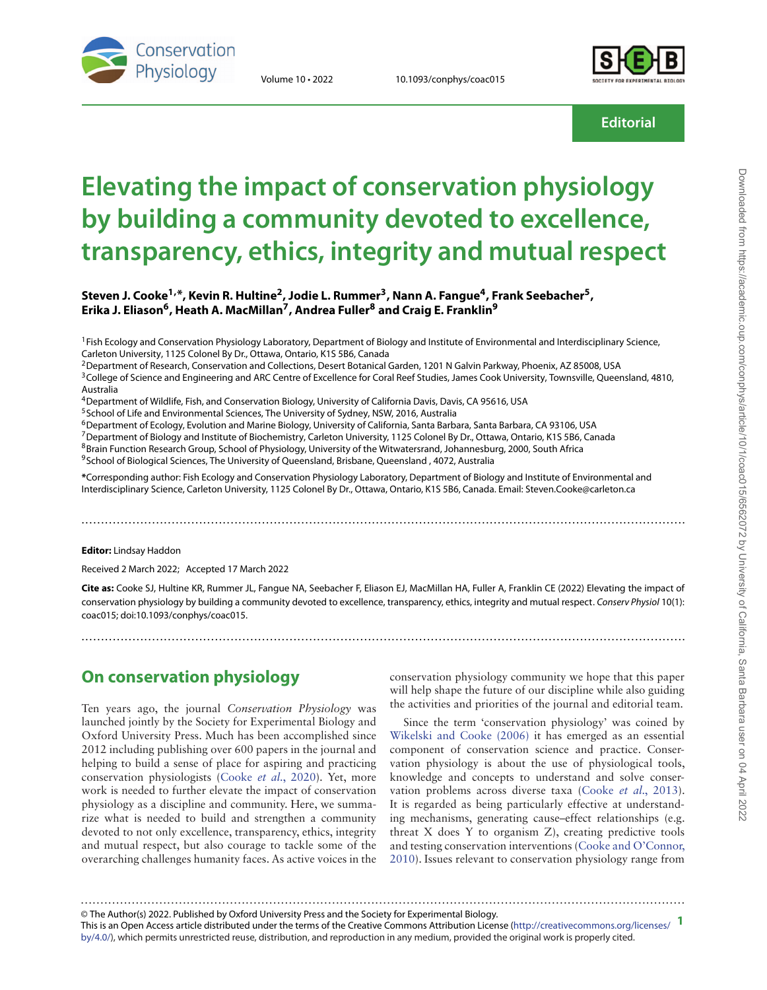

Volume 10 • 2022 10.1093/conphys/coac015



**Editorial**

# **Elevating the impact of conservation physiology by building a community devoted to excellence, transparency, ethics, integrity and mutual respect**

**Steven J. Cooke1, \*, Kevin R. Hultine2, Jodie L. Rummer3, Nann A. Fangue4, Frank Seebacher5, Erika J. Eliason6, Heath A. MacMillan7, Andrea Fuller<sup>8</sup> and Craig E. Franklin<sup>9</sup>**

<sup>1</sup>Fish Ecology and Conservation Physiology Laboratory, Department of Biology and Institute of Environmental and Interdisciplinary Science, Carleton University, 1125 Colonel By Dr., Ottawa, Ontario, K1S 5B6, Canada

<sup>2</sup> Department of Research, Conservation and Collections, Desert Botanical Garden, 1201 N Galvin Parkway, Phoenix, AZ 85008, USA

<sup>3</sup>College of Science and Engineering and ARC Centre of Excellence for Coral Reef Studies, James Cook University, Townsville, Queensland, 4810, Australia

4Department of Wildlife, Fish, and Conservation Biology, University of California Davis, Davis, CA 95616, USA

<sup>5</sup> School of Life and Environmental Sciences, The University of Sydney, NSW, 2016, Australia

6Department of Ecology, Evolution and Marine Biology, University of California, Santa Barbara, Santa Barbara, CA 93106, USA

7Department of Biology and Institute of Biochemistry, Carleton University, 1125 Colonel By Dr., Ottawa, Ontario, K1S 5B6, Canada

<sup>8</sup>Brain Function Research Group, School of Physiology, University of the Witwatersrand, Johannesburg, 2000, South Africa

<sup>9</sup>School of Biological Sciences, The University of Queensland, Brisbane, Queensland, 4072, Australia

**\***Corresponding author: Fish Ecology and Conservation Physiology Laboratory, Department of Biology and Institute of Environmental and Interdisciplinary Science, Carleton University, 1125 Colonel By Dr., Ottawa, Ontario, K1S 5B6, Canada. Email: Steven.Cooke@carleton.ca

#### **Editor:** Lindsay Haddon

Received 2 March 2022; Accepted 17 March 2022

**Cite as:** Cooke SJ, Hultine KR, Rummer JL, Fangue NA, Seebacher F, Eliason EJ, MacMillan HA, Fuller A, Franklin CE (2022) Elevating the impact of conservation physiology by building a community devoted to excellence, transparency, ethics, integrity and mutual respect. Conserv Physiol 10(1): coac015; doi:10.1093/conphys/coac015.

..........................................................................................................................................................

..........................................................................................................................................................

### **On conservation physiology**

Ten years ago, the journal *Conservation Physiology* was launched jointly by the Society for Experimental Biology and Oxford University Press. Much has been accomplished since 2012 including publishing over 600 papers in the journal and helping to build a sense of place for aspiring and practicing conservation physiologists [\(Cooke](#page-7-0) *et al.*, 2020). Yet, more work is needed to further elevate the impact of conservation physiology as a discipline and community. Here, we summarize what is needed to build and strengthen a community devoted to not only excellence, transparency, ethics, integrity and mutual respect, but also courage to tackle some of the overarching challenges humanity faces. As active voices in the

conservation physiology community we hope that this paper will help shape the future of our discipline while also guiding the activities and priorities of the journal and editorial team.

Since the term 'conservation physiology' was coined by [Wikelski and Cooke \(2006](#page-9-0)) it has emerged as an essential component of conservation science and practice. Conservation physiology is about the use of physiological tools, knowledge and concepts to understand and solve conservation problems across diverse taxa ([Cooke](#page-7-1) *et al.*, 2013). It is regarded as being particularly effective at understanding mechanisms, generating cause–effect relationships (e.g. threat X does Y to organism Z), creating predictive tools and testing conservation interventions [\(Cooke and O'Connor,](#page-7-2) 2010). Issues relevant to conservation physiology range from

© The Author(s) 2022. Published by Oxford University Press and the Society for Experimental Biology.

This is an Open Access article distributed under the terms of the Creative Commons Attribution License [\(http://creativecommons.org/licenses/](http://creativecommons.org/licenses/by/4.0/) **1** [by/4.0/\)](http://creativecommons.org/licenses/by/4.0/), which permits unrestricted reuse, distribution, and reproduction in any medium, provided the original work is properly cited.

..........................................................................................................................................................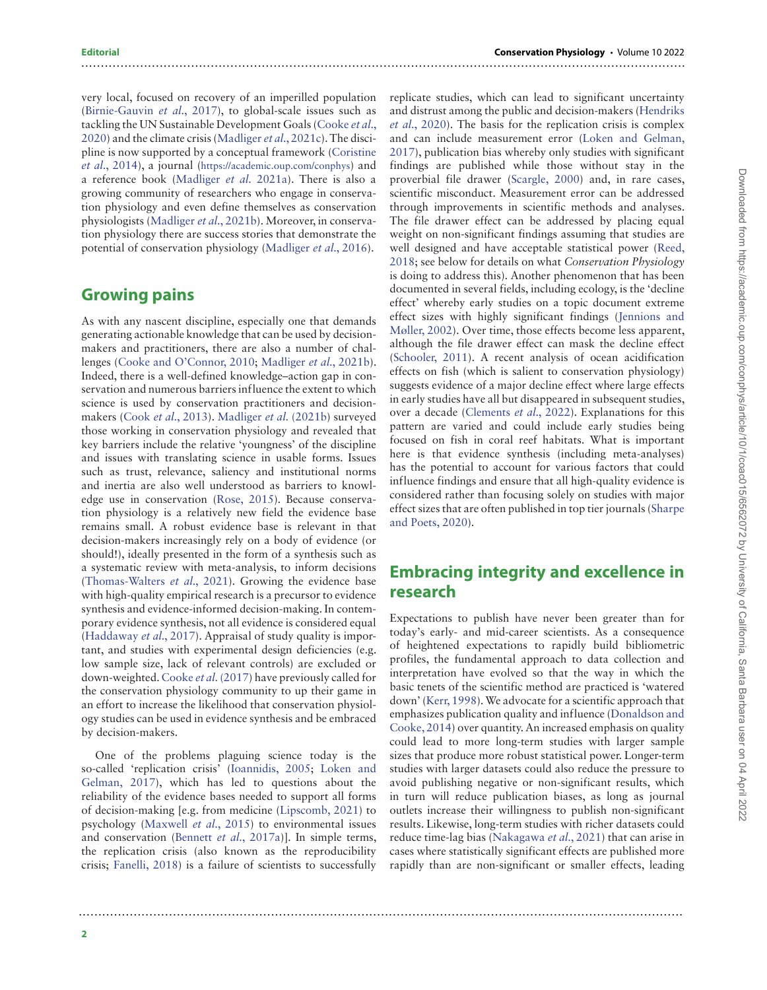very local, focused on recovery of an imperilled population [\(Birnie-Gauvin](#page-7-3) *et al.*, 2017), to global-scale issues such as tackling the UN Sustainable Development Goals [\(Cooke](#page-7-0) *et al.*, 2020) and the climate crisis ([Madliger](#page-8-0) *et al.*, 2021c). The discipline is now supported by a conceptual framework [\(Coristine](#page-7-4) *et al.*, 2014), a journal [\(https://academic.oup.com/conphys\)](https://academic.oup.com/conphys) and a reference book ([Madliger](#page-8-1) *et al.* 2021a). There is also a growing community of researchers who engage in conservation physiology and even define themselves as conservation physiologists [\(Madliger](#page-8-2) *et al.*, 2021b). Moreover, in conservation physiology there are success stories that demonstrate the potential of conservation physiology [\(Madliger](#page-8-3) *et al.*, 2016).

..........................................................................................................................................................

..........................................................................................................................................................

### **Growing pains**

As with any nascent discipline, especially one that demands generating actionable knowledge that can be used by decisionmakers and practitioners, there are also a number of challenges [\(Cooke and O'Connor, 2010](#page-7-2); [Madliger](#page-8-2) *et al.*, 2021b). Indeed, there is a well-defined knowledge–action gap in conservation and numerous barriers influence the extent to which science is used by conservation practitioners and decisionmakers (Cook *et al.*[, 2013](#page-7-5)). [Madliger](#page-8-2) *et al.* (2021b) surveyed those working in conservation physiology and revealed that key barriers include the relative 'youngness' of the discipline and issues with translating science in usable forms. Issues such as trust, relevance, saliency and institutional norms and inertia are also well understood as barriers to knowledge use in conservation [\(Rose, 2015](#page-8-4)). Because conservation physiology is a relatively new field the evidence base remains small. A robust evidence base is relevant in that decision-makers increasingly rely on a body of evidence (or should!), ideally presented in the form of a synthesis such as a systematic review with meta-analysis, to inform decisions [\(Thomas-Walters](#page-9-1) *et al.*, 2021). Growing the evidence base with high-quality empirical research is a precursor to evidence synthesis and evidence-informed decision-making. In contemporary evidence synthesis, not all evidence is considered equal [\(Haddaway](#page-7-6) *et al.*, 2017). Appraisal of study quality is important, and studies with experimental design deficiencies (e.g. low sample size, lack of relevant controls) are excluded or down-weighted. [Cooke](#page-7-7) *et al.*(2017) have previously called for the conservation physiology community to up their game in an effort to increase the likelihood that conservation physiology studies can be used in evidence synthesis and be embraced by decision-makers.

One of the problems plaguing science today is the so-called 'replication crisis' ([Ioannidis, 2005](#page-8-5); [Loken and](#page-8-6) Gelman, 2017), which has led to questions about the reliability of the evidence bases needed to support all forms of decision-making [e.g. from medicine ([Lipscomb, 2021](#page-8-7)) to psychology ([Maxwell](#page-8-8) *et al.*, 2015) to environmental issues and conservation [\(Bennett](#page-7-8) *et al.*, 2017a)]. In simple terms, the replication crisis (also known as the reproducibility crisis; [Fanelli, 2018](#page-7-9)) is a failure of scientists to successfully

replicate studies, which can lead to significant uncertainty and distrust among the public and decision-makers [\(Hendriks](#page-7-10) *et al.*, 2020). The basis for the replication crisis is complex and can include measurement error ([Loken and Gelman,](#page-8-6) 2017), publication bias whereby only studies with significant findings are published while those without stay in the proverbial file drawer ([Scargle, 2000](#page-8-9)) and, in rare cases, scientific misconduct. Measurement error can be addressed through improvements in scientific methods and analyses. The file drawer effect can be addressed by placing equal weight on non-significant findings assuming that studies are well designed and have acceptable statistical power [\(Reed,](#page-8-10) 2018; see below for details on what *Conservation Physiology* is doing to address this). Another phenomenon that has been documented in several fields, including ecology, is the 'decline effect' whereby early studies on a topic document extreme effect sizes with highly significant findings [\(Jennions and](#page-8-11) Møller, 2002). Over time, those effects become less apparent, although the file drawer effect can mask the decline effect [\(Schooler, 2011](#page-8-12)). A recent analysis of ocean acidification effects on fish (which is salient to conservation physiology) suggests evidence of a major decline effect where large effects in early studies have all but disappeared in subsequent studies, over a decade ([Clements](#page-7-11) *et al.*, 2022). Explanations for this pattern are varied and could include early studies being focused on fish in coral reef habitats. What is important here is that evidence synthesis (including meta-analyses) has the potential to account for various factors that could influence findings and ensure that all high-quality evidence is considered rather than focusing solely on studies with major effect sizes that are often published in top tier journals ([Sharpe](#page-8-13) and Poets, 2020).

# **Embracing integrity and excellence in research**

Expectations to publish have never been greater than for today's early- and mid-career scientists. As a consequence of heightened expectations to rapidly build bibliometric profiles, the fundamental approach to data collection and interpretation have evolved so that the way in which the basic tenets of the scientific method are practiced is 'watered down' ([Kerr, 1998\)](#page-8-14).We advocate for a scientific approach that emphasizes publication quality and influence [\(Donaldson and](#page-7-12) Cooke, 2014) over quantity. An increased emphasis on quality could lead to more long-term studies with larger sample sizes that produce more robust statistical power. Longer-term studies with larger datasets could also reduce the pressure to avoid publishing negative or non-significant results, which in turn will reduce publication biases, as long as journal outlets increase their willingness to publish non-significant results. Likewise, long-term studies with richer datasets could reduce time-lag bias ([Nakagawa](#page-8-15) *et al.*, 2021) that can arise in cases where statistically significant effects are published more rapidly than are non-significant or smaller effects, leading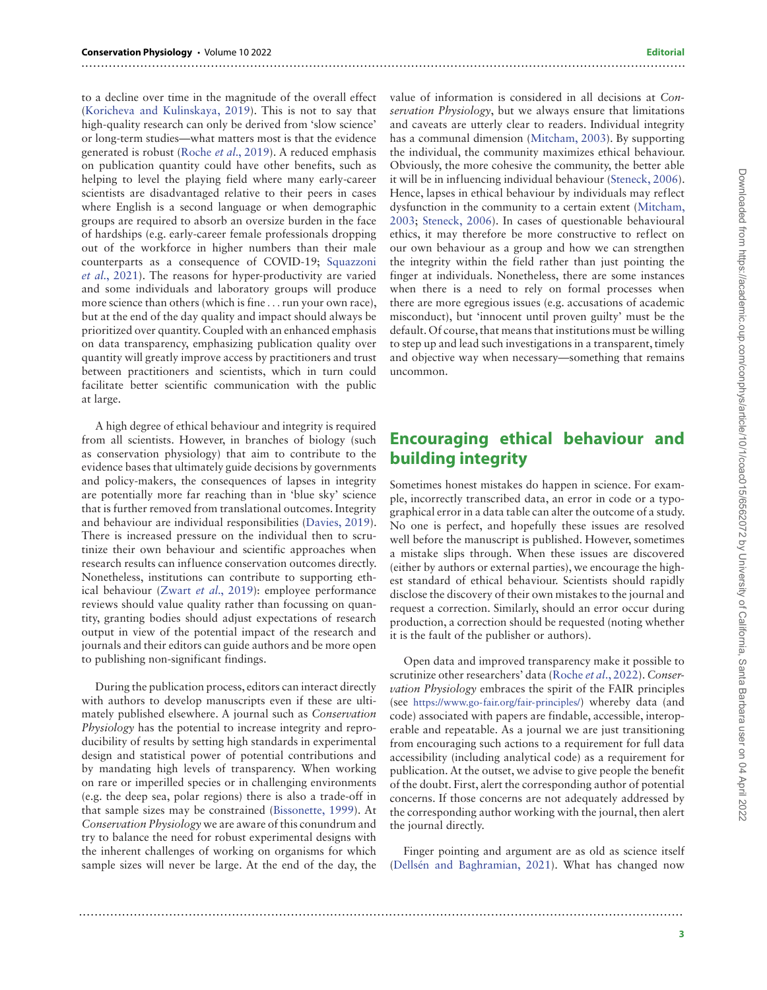### to a decline over time in the magnitude of the overall effect [\(Koricheva and Kulinskaya, 2019](#page-8-16)). This is not to say that high-quality research can only be derived from 'slow science' or long-term studies—what matters most is that the evidence generated is robust (Roche *et al.*[, 2019](#page-8-17)). A reduced emphasis on publication quantity could have other benefits, such as helping to level the playing field where many early-career scientists are disadvantaged relative to their peers in cases where English is a second language or when demographic groups are required to absorb an oversize burden in the face of hardships (e.g. early-career female professionals dropping out of the workforce in higher numbers than their male counterparts as a consequence of COVID-19; [Squazzoni](#page-8-18) *et al.*, 2021). The reasons for hyper-productivity are varied and some individuals and laboratory groups will produce more science than others (which is fine *...*run your own race), but at the end of the day quality and impact should always be prioritized over quantity. Coupled with an enhanced emphasis on data transparency, emphasizing publication quality over quantity will greatly improve access by practitioners and trust between practitioners and scientists, which in turn could facilitate better scientific communication with the public at large.

A high degree of ethical behaviour and integrity is required from all scientists. However, in branches of biology (such as conservation physiology) that aim to contribute to the evidence bases that ultimately guide decisions by governments and policy-makers, the consequences of lapses in integrity are potentially more far reaching than in 'blue sky' science that is further removed from translational outcomes. Integrity and behaviour are individual responsibilities ([Davies, 2019](#page-7-13)). There is increased pressure on the individual then to scrutinize their own behaviour and scientific approaches when research results can influence conservation outcomes directly. Nonetheless, institutions can contribute to supporting ethical behaviour [\(Zwart](#page-9-2) *et al.*, 2019): employee performance reviews should value quality rather than focussing on quantity, granting bodies should adjust expectations of research output in view of the potential impact of the research and journals and their editors can guide authors and be more open to publishing non-significant findings.

During the publication process, editors can interact directly with authors to develop manuscripts even if these are ultimately published elsewhere. A journal such as *Conservation Physiology* has the potential to increase integrity and reproducibility of results by setting high standards in experimental design and statistical power of potential contributions and by mandating high levels of transparency. When working on rare or imperilled species or in challenging environments (e.g. the deep sea, polar regions) there is also a trade-off in that sample sizes may be constrained [\(Bissonette, 1999](#page-7-14)). At *Conservation Physiology* we are aware of this conundrum and try to balance the need for robust experimental designs with the inherent challenges of working on organisms for which sample sizes will never be large. At the end of the day, the

value of information is considered in all decisions at *Conservation Physiology*, but we always ensure that limitations and caveats are utterly clear to readers. Individual integrity has a communal dimension [\(Mitcham, 2003](#page-8-19)). By supporting the individual, the community maximizes ethical behaviour. Obviously, the more cohesive the community, the better able it will be in influencing individual behaviour [\(Steneck, 2006\)](#page-8-20). Hence, lapses in ethical behaviour by individuals may reflect dysfunction in the community to a certain extent [\(Mitcham,](#page-8-19) 2003; [Steneck, 2006](#page-8-20)). In cases of questionable behavioural ethics, it may therefore be more constructive to reflect on our own behaviour as a group and how we can strengthen the integrity within the field rather than just pointing the finger at individuals. Nonetheless, there are some instances when there is a need to rely on formal processes when there are more egregious issues (e.g. accusations of academic misconduct), but 'innocent until proven guilty' must be the default. Of course, that means that institutions must be willing to step up and lead such investigations in a transparent, timely and objective way when necessary—something that remains uncommon.

# **Encouraging ethical behaviour and building integrity**

Sometimes honest mistakes do happen in science. For example, incorrectly transcribed data, an error in code or a typographical error in a data table can alter the outcome of a study. No one is perfect, and hopefully these issues are resolved well before the manuscript is published. However, sometimes a mistake slips through. When these issues are discovered (either by authors or external parties), we encourage the highest standard of ethical behaviour. Scientists should rapidly disclose the discovery of their own mistakes to the journal and request a correction. Similarly, should an error occur during production, a correction should be requested (noting whether it is the fault of the publisher or authors).

Open data and improved transparency make it possible to scrutinize other researchers' data (Roche *et al*[., 2022\)](#page-8-21). *Conservation Physiology* embraces the spirit of the FAIR principles (see [https://www.go-fair.org/fair-principles/\)](https://www.go-fair.org/fair-principles/) whereby data (and code) associated with papers are findable, accessible, interoperable and repeatable. As a journal we are just transitioning from encouraging such actions to a requirement for full data accessibility (including analytical code) as a requirement for publication. At the outset, we advise to give people the benefit of the doubt. First, alert the corresponding author of potential concerns. If those concerns are not adequately addressed by the corresponding author working with the journal, then alert the journal directly.

Finger pointing and argument are as old as science itself ([Dellsén and Baghramian, 202](#page-7-15)1). What has changed now

..........................................................................................................................................................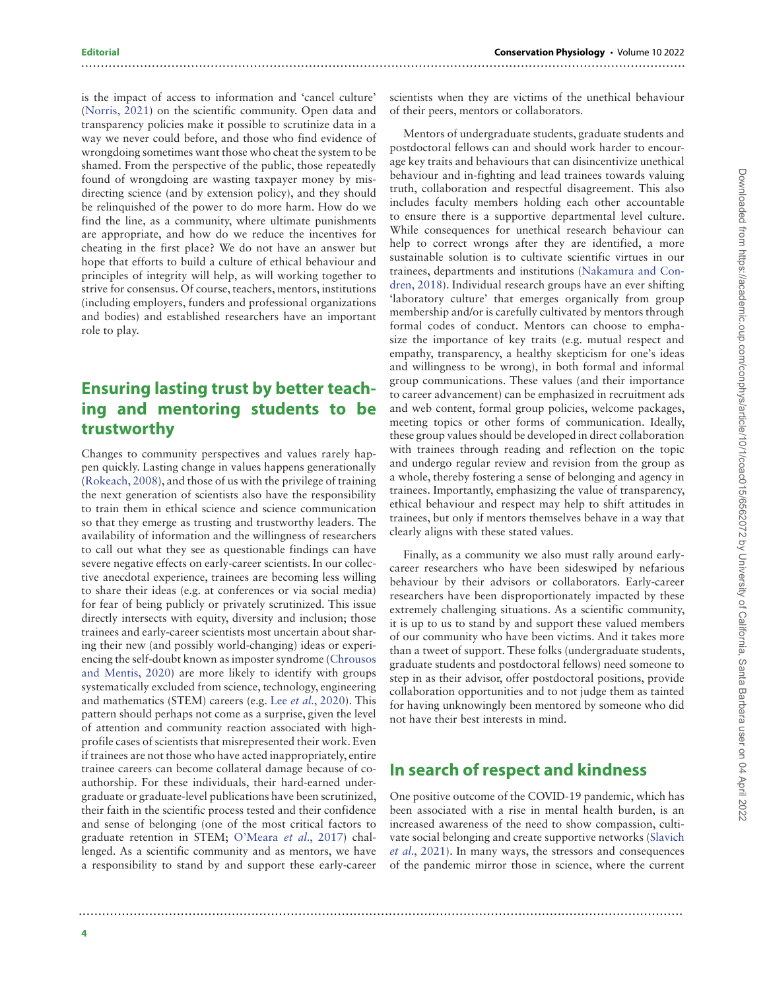### is the impact of access to information and 'cancel culture' [\(Norris, 2021](#page-8-22)) on the scientific community. Open data and transparency policies make it possible to scrutinize data in a way we never could before, and those who find evidence of wrongdoing sometimes want those who cheat the system to be shamed. From the perspective of the public, those repeatedly found of wrongdoing are wasting taxpayer money by misdirecting science (and by extension policy), and they should be relinquished of the power to do more harm. How do we find the line, as a community, where ultimate punishments are appropriate, and how do we reduce the incentives for cheating in the first place? We do not have an answer but hope that efforts to build a culture of ethical behaviour and principles of integrity will help, as will working together to strive for consensus. Of course, teachers, mentors, institutions (including employers, funders and professional organizations and bodies) and established researchers have an important role to play.

# **Ensuring lasting trust by better teaching and mentoring students to be trustworthy**

Changes to community perspectives and values rarely happen quickly. Lasting change in values happens generationally [\(Rokeach, 2008\)](#page-8-23), and those of us with the privilege of training the next generation of scientists also have the responsibility to train them in ethical science and science communication so that they emerge as trusting and trustworthy leaders. The availability of information and the willingness of researchers to call out what they see as questionable findings can have severe negative effects on early-career scientists. In our collective anecdotal experience, trainees are becoming less willing to share their ideas (e.g. at conferences or via social media) for fear of being publicly or privately scrutinized. This issue directly intersects with equity, diversity and inclusion; those trainees and early-career scientists most uncertain about sharing their new (and possibly world-changing) ideas or experiencing the self-doubt known as imposter syndrome ([Chrousos](#page-7-16) and Mentis, 2020) are more likely to identify with groups systematically excluded from science, technology, engineering and mathematics (STEM) careers (e.g. Lee *et al.*[, 2020](#page-8-24)). This pattern should perhaps not come as a surprise, given the level of attention and community reaction associated with highprofile cases of scientists that misrepresented their work. Even if trainees are not those who have acted inappropriately, entire trainee careers can become collateral damage because of coauthorship. For these individuals, their hard-earned undergraduate or graduate-level publications have been scrutinized, their faith in the scientific process tested and their confidence and sense of belonging (one of the most critical factors to graduate retention in STEM; [O'Meara](#page-8-25) *et al.*, 2017) challenged. As a scientific community and as mentors, we have a responsibility to stand by and support these early-career

scientists when they are victims of the unethical behaviour of their peers, mentors or collaborators.

..........................................................................................................................................................

Mentors of undergraduate students, graduate students and postdoctoral fellows can and should work harder to encourage key traits and behaviours that can disincentivize unethical behaviour and in-fighting and lead trainees towards valuing truth, collaboration and respectful disagreement. This also includes faculty members holding each other accountable to ensure there is a supportive departmental level culture. While consequences for unethical research behaviour can help to correct wrongs after they are identified, a more sustainable solution is to cultivate scientific virtues in our trainees, departments and institutions ([Nakamura and Con](#page-8-26)dren, 2018). Individual research groups have an ever shifting 'laboratory culture' that emerges organically from group membership and/or is carefully cultivated by mentors through formal codes of conduct. Mentors can choose to emphasize the importance of key traits (e.g. mutual respect and empathy, transparency, a healthy skepticism for one's ideas and willingness to be wrong), in both formal and informal group communications. These values (and their importance to career advancement) can be emphasized in recruitment ads and web content, formal group policies, welcome packages, meeting topics or other forms of communication. Ideally, these group values should be developed in direct collaboration with trainees through reading and reflection on the topic and undergo regular review and revision from the group as a whole, thereby fostering a sense of belonging and agency in trainees. Importantly, emphasizing the value of transparency, ethical behaviour and respect may help to shift attitudes in trainees, but only if mentors themselves behave in a way that clearly aligns with these stated values.

Finally, as a community we also must rally around earlycareer researchers who have been sideswiped by nefarious behaviour by their advisors or collaborators. Early-career researchers have been disproportionately impacted by these extremely challenging situations. As a scientific community, it is up to us to stand by and support these valued members of our community who have been victims. And it takes more than a tweet of support. These folks (undergraduate students, graduate students and postdoctoral fellows) need someone to step in as their advisor, offer postdoctoral positions, provide collaboration opportunities and to not judge them as tainted for having unknowingly been mentored by someone who did not have their best interests in mind.

# **In search of respect and kindness**

..........................................................................................................................................................

One positive outcome of the COVID-19 pandemic, which has been associated with a rise in mental health burden, is an increased awareness of the need to show compassion, cultivate social belonging and create supportive networks ([Slavich](#page-8-27) *et al.*, 2021). In many ways, the stressors and consequences of the pandemic mirror those in science, where the current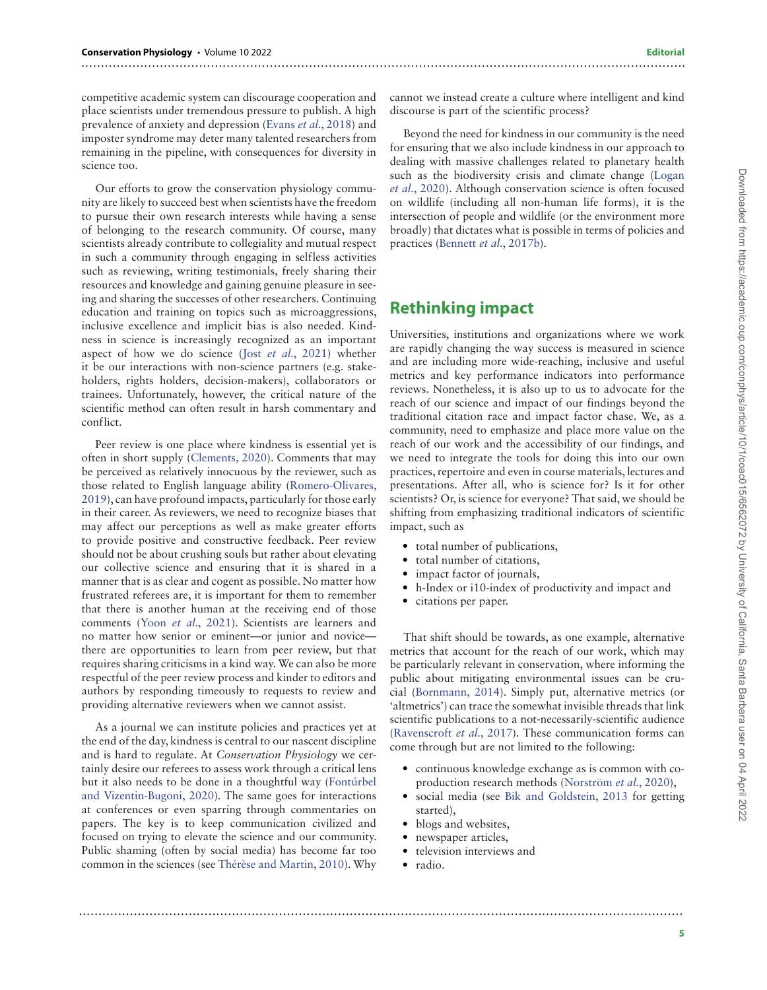competitive academic system can discourage cooperation and place scientists under tremendous pressure to publish. A high prevalence of anxiety and depression (Evans *et al.*[, 2018\)](#page-7-17) and imposter syndrome may deter many talented researchers from remaining in the pipeline, with consequences for diversity in science too.

Our efforts to grow the conservation physiology community are likely to succeed best when scientists have the freedom to pursue their own research interests while having a sense of belonging to the research community. Of course, many scientists already contribute to collegiality and mutual respect in such a community through engaging in selfless activities such as reviewing, writing testimonials, freely sharing their resources and knowledge and gaining genuine pleasure in seeing and sharing the successes of other researchers. Continuing education and training on topics such as microaggressions, inclusive excellence and implicit bias is also needed. Kindness in science is increasingly recognized as an important aspect of how we do science (Jost *[et al.](#page-8-28)*, 2021) whether it be our interactions with non-science partners (e.g. stakeholders, rights holders, decision-makers), collaborators or trainees. Unfortunately, however, the critical nature of the scientific method can often result in harsh commentary and conflict.

Peer review is one place where kindness is essential yet is often in short supply [\(Clements, 2020](#page-7-18)). Comments that may be perceived as relatively innocuous by the reviewer, such as those related to English language ability ([Romero-Olivares,](#page-8-29) 2019), can have profound impacts, particularly for those early in their career. As reviewers, we need to recognize biases that may affect our perceptions as well as make greater efforts to provide positive and constructive feedback. Peer review should not be about crushing souls but rather about elevating our collective science and ensuring that it is shared in a manner that is as clear and cogent as possible. No matter how frustrated referees are, it is important for them to remember that there is another human at the receiving end of those comments (Yoon *[et al.](#page-9-3)*, 2021). Scientists are learners and no matter how senior or eminent—or junior and novice there are opportunities to learn from peer review, but that requires sharing criticisms in a kind way. We can also be more respectful of the peer review process and kinder to editors and authors by responding timeously to requests to review and providing alternative reviewers when we cannot assist.

As a journal we can institute policies and practices yet at the end of the day, kindness is central to our nascent discipline and is hard to regulate. At *Conservation Physiology* we certainly desire our referees to assess work through a critical lens but it also needs to be done in a thoughtful way (Fontúrbel and Vizentin-Bugoni, 2020). The same goes for interactions at conferences or even sparring through commentaries on papers. The key is to keep communication civilized and focused on trying to elevate the science and our community. Public shaming (often by social media) has become far too common in the sciences (see [Thérèse and Martin, 2010\)](#page-8-30). Why

cannot we instead create a culture where intelligent and kind discourse is part of the scientific process?

Beyond the need for kindness in our community is the need for ensuring that we also include kindness in our approach to dealing with massive challenges related to planetary health such as the biodiversity crisis and climate change ([Logan](#page-8-31) *et al.*, 2020). Although conservation science is often focused on wildlife (including all non-human life forms), it is the intersection of people and wildlife (or the environment more broadly) that dictates what is possible in terms of policies and practices [\(Bennett](#page-7-20) *et al.*, 2017b).

# **Rethinking impact**

Universities, institutions and organizations where we work are rapidly changing the way success is measured in science and are including more wide-reaching, inclusive and useful metrics and key performance indicators into performance reviews. Nonetheless, it is also up to us to advocate for the reach of our science and impact of our findings beyond the traditional citation race and impact factor chase. We, as a community, need to emphasize and place more value on the reach of our work and the accessibility of our findings, and we need to integrate the tools for doing this into our own practices, repertoire and even in course materials, lectures and presentations. After all, who is science for? Is it for other scientists? Or, is science for everyone? That said, we should be shifting from emphasizing traditional indicators of scientific impact, such as

- total number of publications,
- total number of citations,
- impact factor of journals,
- h-Index or i10-index of productivity and impact and
- citations per paper.

That shift should be towards, as one example, alternative metrics that account for the reach of our work, which may be particularly relevant in conservation, where informing the public about mitigating environmental issues can be crucial [\(Bornmann, 2014](#page-7-21)). Simply put, alternative metrics (or 'altmetrics') can trace the somewhat invisible threads that link scientific publications to a not-necessarily-scientific audience ([Ravenscroft](#page-8-32) *et al.*, 2017). These communication forms can come through but are not limited to the following:

- continuous knowledge exchange as is common with co[production research](#page-7-19) methods ([Norström](#page-8-33) *et al.*, 2020),
- social media (see [Bik and Goldstein, 2013](#page-7-22) for getting started),
- blogs and websites,
- newspaper articles,
- television interviews and
- radio.

..........................................................................................................................................................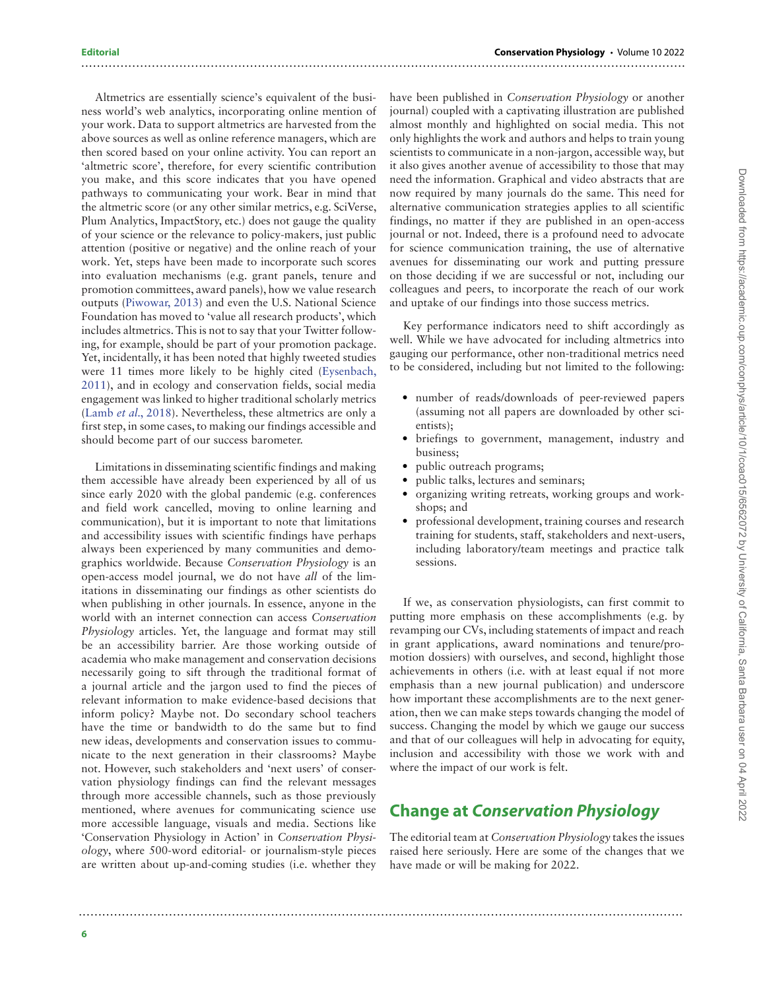### Altmetrics are essentially science's equivalent of the business world's web analytics, incorporating online mention of your work. Data to support altmetrics are harvested from the above sources as well as online reference managers, which are then scored based on your online activity. You can report an 'altmetric score', therefore, for every scientific contribution you make, and this score indicates that you have opened pathways to communicating your work. Bear in mind that the altmetric score (or any other similar metrics, e.g. SciVerse, Plum Analytics, ImpactStory, etc.) does not gauge the quality of your science or the relevance to policy-makers, just public attention (positive or negative) and the online reach of your work. Yet, steps have been made to incorporate such scores into evaluation mechanisms (e.g. grant panels, tenure and promotion committees, award panels), how we value research outputs [\(Piwowar, 2013\)](#page-8-34) and even the U.S. National Science Foundation has moved to 'value all research products', which includes altmetrics. This is not to say that your Twitter following, for example, should be part of your promotion package. Yet, incidentally, it has been noted that highly tweeted studies were 11 times more likely to be highly cited ([Eysenbach,](#page-7-23) 2011), and in ecology and conservation fields, social media engagement was linked to higher traditional scholarly metrics (Lamb *et al.*[, 2018](#page-8-35)). Nevertheless, these altmetrics are only a first step, in some cases, to making our findings accessible and should become part of our success barometer.

Limitations in disseminating scientific findings and making them accessible have already been experienced by all of us since early 2020 with the global pandemic (e.g. conferences and field work cancelled, moving to online learning and communication), but it is important to note that limitations and accessibility issues with scientific findings have perhaps always been experienced by many communities and demographics worldwide. Because *Conservation Physiology* is an open-access model journal, we do not have *all* of the limitations in disseminating our findings as other scientists do when publishing in other journals. In essence, anyone in the world with an internet connection can access *Conservation Physiology* articles. Yet, the language and format may still be an accessibility barrier. Are those working outside of academia who make management and conservation decisions necessarily going to sift through the traditional format of a journal article and the jargon used to find the pieces of relevant information to make evidence-based decisions that inform policy? Maybe not. Do secondary school teachers have the time or bandwidth to do the same but to find new ideas, developments and conservation issues to communicate to the next generation in their classrooms? Maybe not. However, such stakeholders and 'next users' of conservation physiology findings can find the relevant messages through more accessible channels, such as those previously mentioned, where avenues for communicating science use more accessible language, visuals and media. Sections like 'Conservation Physiology in Action' in *Conservation Physiology*, where 500-word editorial- or journalism-style pieces are written about up-and-coming studies (i.e. whether they

have been published in *Conservation Physiology* or another journal) coupled with a captivating illustration are published almost monthly and highlighted on social media. This not only highlights the work and authors and helps to train young scientists to communicate in a non-jargon, accessible way, but it also gives another avenue of accessibility to those that may need the information. Graphical and video abstracts that are now required by many journals do the same. This need for alternative communication strategies applies to all scientific findings, no matter if they are published in an open-access journal or not. Indeed, there is a profound need to advocate for science communication training, the use of alternative avenues for disseminating our work and putting pressure on those deciding if we are successful or not, including our colleagues and peers, to incorporate the reach of our work and uptake of our findings into those success metrics.

Key performance indicators need to shift accordingly as well. While we have advocated for including altmetrics into gauging our performance, other non-traditional metrics need to be considered, including but not limited to the following:

- number of reads/downloads of peer-reviewed papers (assuming not all papers are downloaded by other scientists);
- briefings to government, management, industry and business;
- public outreach programs;

..........................................................................................................................................................

- public talks, lectures and seminars;
- organizing writing retreats, working groups and workshops; and
- professional development, training courses and research training for students, staff, stakeholders and next-users, including laboratory/team meetings and practice talk sessions.

If we, as conservation physiologists, can first commit to putting more emphasis on these accomplishments (e.g. by revamping our CVs, including statements of impact and reach in grant applications, award nominations and tenure/promotion dossiers) with ourselves, and second, highlight those achievements in others (i.e. with at least equal if not more emphasis than a new journal publication) and underscore how important these accomplishments are to the next generation, then we can make steps towards changing the model of success. Changing the model by which we gauge our success and that of our colleagues will help in advocating for equity, inclusion and accessibility with those we work with and where the impact of our work is felt.

# **Change at** *Conservation Physiology*

..........................................................................................................................................................

The editorial team at *Conservation Physiology* takes the issues raised here seriously. Here are some of the changes that we have made or will be making for 2022.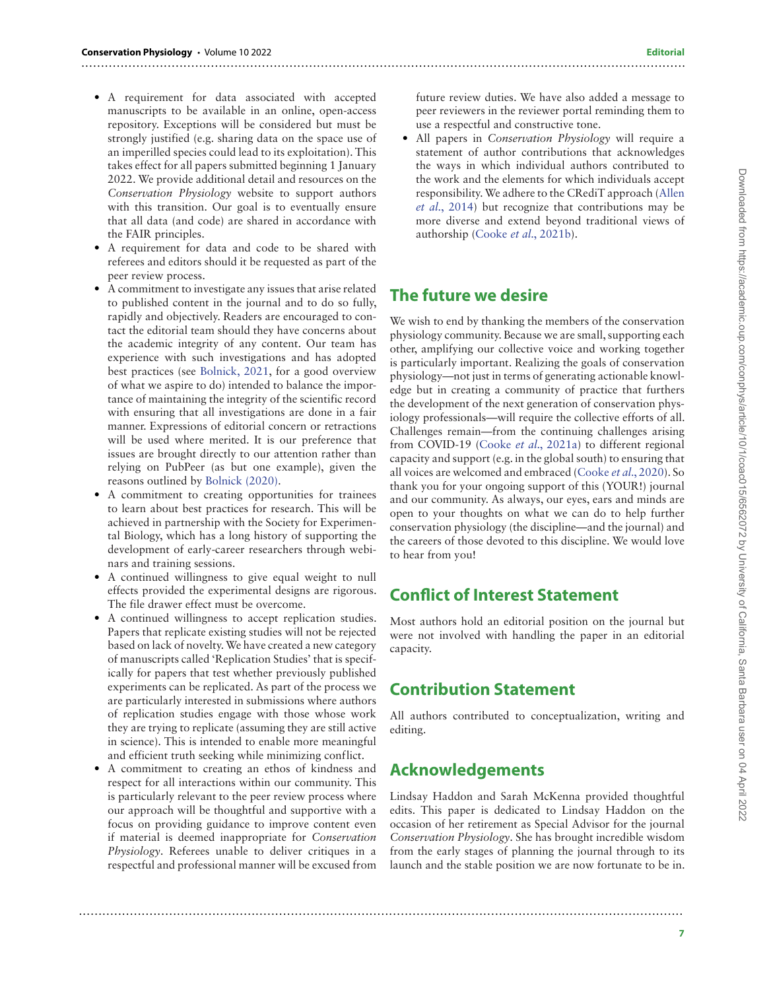- A requirement for data associated with accepted manuscripts to be available in an online, open-access repository. Exceptions will be considered but must be strongly justified (e.g. sharing data on the space use of an imperilled species could lead to its exploitation). This takes effect for all papers submitted beginning 1 January 2022. We provide additional detail and resources on the *Conservation Physiology* website to support authors with this transition. Our goal is to eventually ensure that all data (and code) are shared in accordance with the FAIR principles.
- A requirement for data and code to be shared with referees and editors should it be requested as part of the peer review process.
- A commitment to investigate any issues that arise related to published content in the journal and to do so fully, rapidly and objectively. Readers are encouraged to contact the editorial team should they have concerns about the academic integrity of any content. Our team has experience with such investigations and has adopted best practices (see [Bolnick, 2021](#page-7-24), for a good overview of what we aspire to do) intended to balance the importance of maintaining the integrity of the scientific record with ensuring that all investigations are done in a fair manner. Expressions of editorial concern or retractions will be used where merited. It is our preference that issues are brought directly to our attention rather than relying on PubPeer (as but one example), given the reasons outlined by [Bolnick \(2020\)](#page-7-25).
- A commitment to creating opportunities for trainees to learn about best practices for research. This will be achieved in partnership with the Society for Experimental Biology, which has a long history of supporting the development of early-career researchers through webinars and training sessions.
- A continued willingness to give equal weight to null effects provided the experimental designs are rigorous. The file drawer effect must be overcome.
- A continued willingness to accept replication studies. Papers that replicate existing studies will not be rejected based on lack of novelty.We have created a new category of manuscripts called 'Replication Studies' that is specifically for papers that test whether previously published experiments can be replicated. As part of the process we are particularly interested in submissions where authors of replication studies engage with those whose work they are trying to replicate (assuming they are still active in science). This is intended to enable more meaningful and efficient truth seeking while minimizing conflict.
- A commitment to creating an ethos of kindness and respect for all interactions within our community. This is particularly relevant to the peer review process where our approach will be thoughtful and supportive with a focus on providing guidance to improve content even if material is deemed inappropriate for *Conservation Physiology*. Referees unable to deliver critiques in a respectful and professional manner will be excused from

future review duties. We have also added a message to peer reviewers in the reviewer portal reminding them to use a respectful and constructive tone.

• All papers in *Conservation Physiology* will require a statement of author contributions that acknowledges the ways in which individual authors contributed to the work and the elements for which individuals accept responsibility.We adhere to the CRediT approach ([Allen](#page-7-26) *et al.*, 2014) but recognize that contributions may be more diverse and extend beyond traditional views of authorship (Cooke *et al.*[, 2021b](#page-7-27)).

# **The future we desire**

..........................................................................................................................................................

We wish to end by thanking the members of the conservation physiology community. Because we are small, supporting each other, amplifying our collective voice and working together is particularly important. Realizing the goals of conservation physiology—not just in terms of generating actionable knowledge but in creating a community of practice that furthers the development of the next generation of conservation physiology professionals—will require the collective efforts of all. Challenges remain—from the continuing challenges arising from COVID-19 (Cooke *et al.*[, 2021a](#page-7-0)) to different regional capacity and support (e.g. in the global south) to ensuring that all voices are welcomed and embraced (Cooke *et al.*[, 2020\)](#page-7-0). So thank you for your ongoing support of this (YOUR!) journal and our community. As always, our eyes, ears and minds are open to your thoughts on what we can do to help further conservation physiology (the discipline—and the journal) and the careers of those devoted to this discipline. We would love to hear from you!

### **Conflict of Interest Statement**

Most authors hold an editorial position on the journal but were not involved with handling the paper in an editorial capacity.

# **Contribution Statement**

All authors contributed to conceptualization, writing and editing.

# **Acknowledgements**

Lindsay Haddon and Sarah McKenna provided thoughtful edits. This paper is dedicated to Lindsay Haddon on the occasion of her retirement as Special Advisor for the journal *Conservation Physiology*. She has brought incredible wisdom from the early stages of planning the journal through to its launch and the stable position we are now fortunate to be in.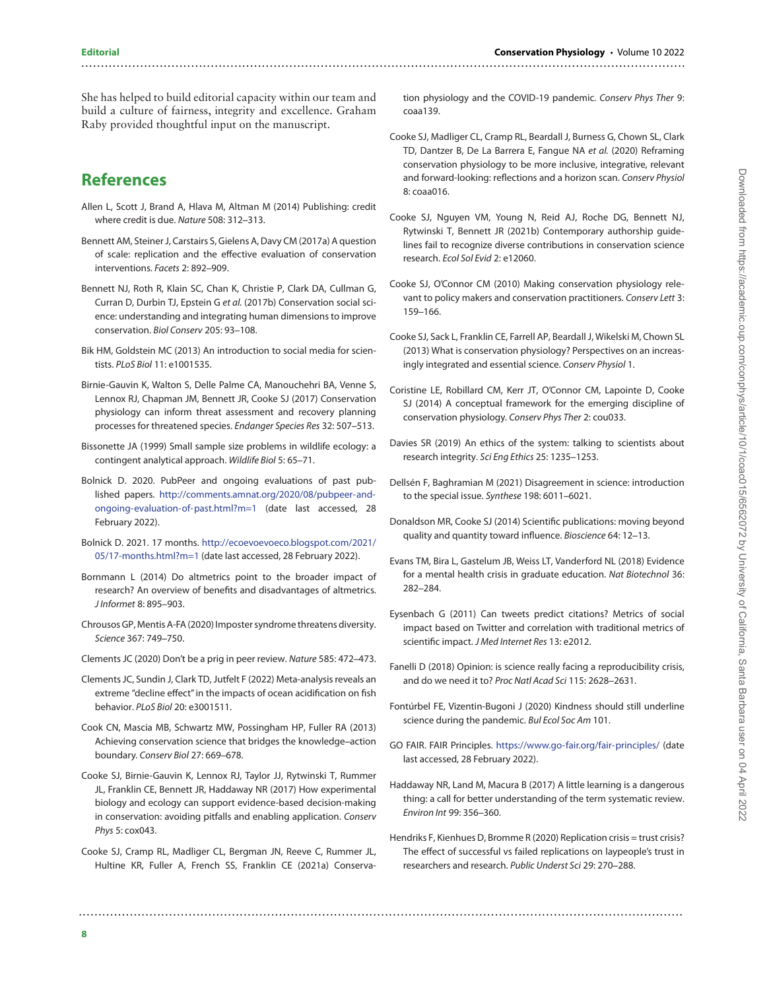She has helped to build editorial capacity within our team and build a culture of fairness, integrity and excellence. Graham Raby provided thoughtful input on the manuscript.

# **References**

- <span id="page-7-26"></span>Allen L, Scott J, Brand A, Hlava M, Altman M (2014) Publishing: credit where credit is due. Nature 508: 312–313.
- <span id="page-7-8"></span>Bennett AM, Steiner J, Carstairs S, Gielens A, Davy CM (2017a) A question of scale: replication and the effective evaluation of conservation interventions. Facets 2: 892–909.
- <span id="page-7-20"></span>Bennett NJ, Roth R, Klain SC, Chan K, Christie P, Clark DA, Cullman G, Curran D, Durbin TJ, Epstein G et al. (2017b) Conservation social science: understanding and integrating human dimensions to improve conservation. Biol Conserv 205: 93–108.
- <span id="page-7-22"></span>Bik HM, Goldstein MC (2013) An introduction to social media for scientists. PLoS Biol 11: e1001535.
- <span id="page-7-3"></span>Birnie-Gauvin K, Walton S, Delle Palme CA, Manouchehri BA, Venne S, Lennox RJ, Chapman JM, Bennett JR, Cooke SJ (2017) Conservation physiology can inform threat assessment and recovery planning processes for threatened species. Endanger Species Res 32: 507–513.
- <span id="page-7-14"></span>Bissonette JA (1999) Small sample size problems in wildlife ecology: a contingent analytical approach. Wildlife Biol 5: 65–71.
- <span id="page-7-25"></span>Bolnick D. 2020. PubPeer and ongoing evaluations of past published papers. [http://comments.amnat.org/2020/08/pubpeer-and](http://comments.amnat.org/2020/08/pubpeer-and-ongoing-evaluation-of-past.html?m=1)[ongoing-evaluation-of-past.html?m=1](http://comments.amnat.org/2020/08/pubpeer-and-ongoing-evaluation-of-past.html?m=1) (date last accessed, 28 February 2022).
- <span id="page-7-24"></span>Bolnick D. 2021. 17 months. [http://ecoevoevoeco.blogspot.com/2021/](http://ecoevoevoeco.blogspot.com/2021/05/17-months.html?m=1) 05/17-months.html?m=1 (date last accessed, 28 February 2022).
- <span id="page-7-21"></span>Bornmann L (2014) Do altmetrics point to the broader impact of research? An overview of benefits and disadvantages of altmetrics. J Informet 8: 895–903.
- <span id="page-7-16"></span>Chrousos GP, Mentis A-FA (2020) Imposter syndrome threatens diversity. Science 367: 749–750.
- <span id="page-7-18"></span>Clements JC (2020) Don't be a prig in peer review. Nature 585: 472–473.
- <span id="page-7-11"></span>Clements JC, Sundin J, Clark TD, Jutfelt F (2022) Meta-analysis reveals an extreme "decline effect" in the impacts of ocean acidification on fish behavior. PLoS Biol 20: e3001511.
- <span id="page-7-5"></span>Cook CN, Mascia MB, Schwartz MW, Possingham HP, Fuller RA (2013) Achieving conservation science that bridges the knowledge–action boundary. Conserv Biol 27: 669–678.
- <span id="page-7-7"></span>Cooke SJ, Birnie-Gauvin K, Lennox RJ, Taylor JJ, Rytwinski T, Rummer JL, Franklin CE, Bennett JR, Haddaway NR (2017) How experimental biology and ecology can support evidence-based decision-making in conservation: avoiding pitfalls and enabling application. Conserv Phys 5: cox043.
- Cooke SJ, Cramp RL, Madliger CL, Bergman JN, Reeve C, Rummer JL, Hultine KR, Fuller A, French SS, Franklin CE (2021a) Conserva-

..........................................................................................................................................................

tion physiology and the COVID-19 pandemic. Conserv Phys Ther 9: coaa139.

- <span id="page-7-0"></span>Cooke SJ, Madliger CL, Cramp RL, Beardall J, Burness G, Chown SL, Clark TD, Dantzer B, De La Barrera E, Fangue NA et al. (2020) Reframing conservation physiology to be more inclusive, integrative, relevant and forward-looking: reflections and a horizon scan. Conserv Physiol 8: coaa016.
- <span id="page-7-27"></span>Cooke SJ, Nguyen VM, Young N, Reid AJ, Roche DG, Bennett NJ, Rytwinski T, Bennett JR (2021b) Contemporary authorship guidelines fail to recognize diverse contributions in conservation science research. Ecol Sol Evid 2: e12060.
- <span id="page-7-2"></span>Cooke SJ, O'Connor CM (2010) Making conservation physiology relevant to policy makers and conservation practitioners. Conserv Lett 3: 159–166.
- <span id="page-7-1"></span>Cooke SJ, Sack L, Franklin CE, Farrell AP, Beardall J, Wikelski M, Chown SL (2013) What is conservation physiology? Perspectives on an increasingly integrated and essential science. Conserv Physiol 1.
- <span id="page-7-4"></span>Coristine LE, Robillard CM, Kerr JT, O'Connor CM, Lapointe D, Cooke SJ (2014) A conceptual framework for the emerging discipline of conservation physiology. Conserv Phys Ther 2: cou033.
- <span id="page-7-13"></span>Davies SR (2019) An ethics of the system: talking to scientists about research integrity. Sci Eng Ethics 25: 1235–1253.
- <span id="page-7-15"></span>Dellsén F, Baghramian M (2021) Disagreement in science: introduction to the special issue. Synthese 198: 6011–6021.
- <span id="page-7-12"></span>Donaldson MR, Cooke SJ (2014) Scientific publications: moving beyond quality and quantity toward influence. Bioscience 64: 12–13.
- <span id="page-7-17"></span>Evans TM, Bira L, Gastelum JB, Weiss LT, Vanderford NL (2018) Evidence for a mental health crisis in graduate education. Nat Biotechnol 36: 282–284.
- <span id="page-7-23"></span>Eysenbach G (2011) Can tweets predict citations? Metrics of social impact based on Twitter and correlation with traditional metrics of scientific impact. J Med Internet Res 13: e2012.
- <span id="page-7-9"></span>Fanelli D (2018) Opinion: is science really facing a reproducibility crisis, and do we need it to? Proc Natl Acad Sci 115: 2628–2631.
- <span id="page-7-19"></span>Fontúrbel FE, Vizentin-Bugoni J (2020) Kindness should still underline science during the pandemic. Bul Ecol Soc Am 101.
- GO FAIR. FAIR Principles. <https://www.go-fair.org/fair-principles/> (date last accessed, 28 February 2022).
- <span id="page-7-6"></span>Haddaway NR, Land M, Macura B (2017) A little learning is a dangerous thing: a call for better understanding of the term systematic review. Environ Int 99: 356–360.
- <span id="page-7-10"></span>Hendriks F, Kienhues D, Bromme R (2020) Replication crisis = trust crisis? The effect of successful vs failed replications on laypeople's trust in researchers and research. Public Underst Sci 29: 270–288.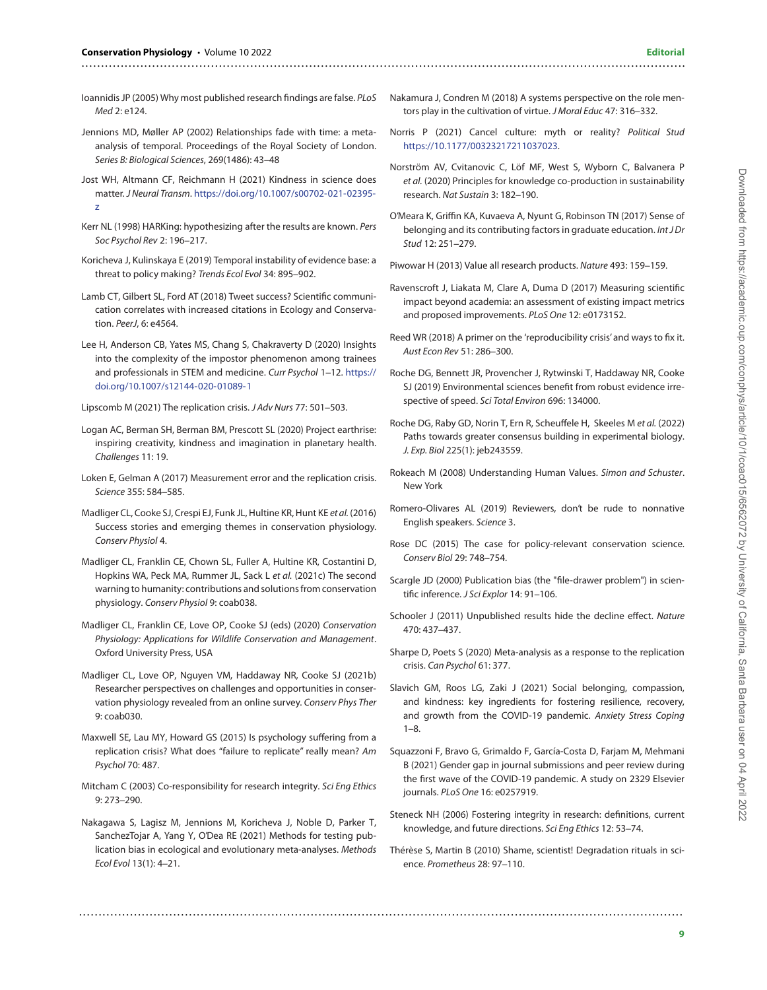- <span id="page-8-5"></span>Ioannidis JP (2005) Why most published research findings are false. PLoS Med 2: e124.
- <span id="page-8-11"></span>Jennions MD, Møller AP (2002) Relationships fade with time: a metaanalysis of temporal. Proceedings of the Royal Society of London. Series B: Biological Sciences, 269(1486): 43–48
- <span id="page-8-28"></span>Jost WH, Altmann CF, Reichmann H (2021) Kindness in science does matter. J Neural Transm. [https://doi.org/10.1007/s00702-021-02395](https://doi.org/10.1007/s00702-021-02395-z) [z](https://doi.org/10.1007/s00702-021-02395-z)
- <span id="page-8-14"></span>Kerr NL (1998) HARKing: hypothesizing after the results are known. Pers Soc Psychol Rev 2: 196–217.
- <span id="page-8-16"></span>Koricheva J, Kulinskaya E (2019) Temporal instability of evidence base: a threat to policy making? Trends Ecol Evol 34: 895–902.
- <span id="page-8-35"></span>Lamb CT, Gilbert SL, Ford AT (2018) Tweet success? Scientific communication correlates with increased citations in Ecology and Conservation. PeerJ, 6: e4564.
- <span id="page-8-24"></span>Lee H, Anderson CB, Yates MS, Chang S, Chakraverty D (2020) Insights into the complexity of the impostor phenomenon among trainees and professionals in STEM and medicine. Curr Psychol 1–12. [https://](https://doi.org/10.1007/s12144-020-01089-1) [doi.org/10.1007/s12144-020-01089-1](https://doi.org/10.1007/s12144-020-01089-1)

<span id="page-8-7"></span>Lipscomb M (2021) The replication crisis. J Adv Nurs 77: 501–503.

- <span id="page-8-31"></span>Logan AC, Berman SH, Berman BM, Prescott SL (2020) Project earthrise: inspiring creativity, kindness and imagination in planetary health. Challenges 11: 19.
- <span id="page-8-6"></span>Loken E, Gelman A (2017) Measurement error and the replication crisis. Science 355: 584–585.
- <span id="page-8-3"></span>Madliger CL, Cooke SJ, Crespi EJ, Funk JL, Hultine KR, Hunt KE et al. (2016) Success stories and emerging themes in conservation physiology. Conserv Physiol 4.
- <span id="page-8-0"></span>Madliger CL, Franklin CE, Chown SL, Fuller A, Hultine KR, Costantini D, Hopkins WA, Peck MA, Rummer JL, Sack L et al. (2021c) The second warning to humanity: contributions and solutions from conservation physiology. Conserv Physiol 9: coab038.
- <span id="page-8-1"></span>Madliger CL, Franklin CE, Love OP, Cooke SJ (eds) (2020) Conservation Physiology: Applications for Wildlife Conservation and Management. Oxford University Press, USA
- <span id="page-8-2"></span>Madliger CL, Love OP, Nguyen VM, Haddaway NR, Cooke SJ (2021b) Researcher perspectives on challenges and opportunities in conservation physiology revealed from an online survey. Conserv Phys Ther 9: coab030.
- <span id="page-8-8"></span>Maxwell SE, Lau MY, Howard GS (2015) Is psychology suffering from a replication crisis? What does "failure to replicate" really mean? Am Psychol 70: 487.
- <span id="page-8-19"></span>Mitcham C (2003) Co-responsibility for research integrity. Sci Eng Ethics 9: 273–290.
- <span id="page-8-15"></span>Nakagawa S, Lagisz M, Jennions M, Koricheva J, Noble D, Parker T, SanchezTojar A, Yang Y, O'Dea RE (2021) Methods for testing publication bias in ecological and evolutionary meta-analyses. Methods Ecol Evol 13(1): 4–21.

..........................................................................................................................................................

<span id="page-8-26"></span>Nakamura J, Condren M (2018) A systems perspective on the role mentors play in the cultivation of virtue. J Moral Educ 47: 316–332.

..........................................................................................................................................................

- <span id="page-8-22"></span>Norris P (2021) Cancel culture: myth or reality? Political Stud [https://10.1177/00323217211037023.](https://10.1177/00323217211037023)
- <span id="page-8-33"></span>Norström AV, Cvitanovic C, Löf MF, West S, Wyborn C, Balvanera P et al. (2020) Principles for knowledge co-production in sustainability research. Nat Sustain 3: 182–190.
- <span id="page-8-25"></span>O'Meara K, Griffin KA, Kuvaeva A, Nyunt G, Robinson TN (2017) Sense of belonging and its contributing factors in graduate education. Int J Dr Stud 12: 251–279.

<span id="page-8-34"></span>Piwowar H (2013) Value all research products. Nature 493: 159–159.

- <span id="page-8-32"></span>Ravenscroft J, Liakata M, Clare A, Duma D (2017) Measuring scientific impact beyond academia: an assessment of existing impact metrics and proposed improvements. PLoS One 12: e0173152.
- <span id="page-8-10"></span>Reed WR (2018) A primer on the 'reproducibility crisis'and ways to fix it. Aust Econ Rev 51: 286–300.
- <span id="page-8-17"></span>Roche DG, Bennett JR, Provencher J, Rytwinski T, Haddaway NR, Cooke SJ (2019) Environmental sciences benefit from robust evidence irrespective of speed. Sci Total Environ 696: 134000.
- <span id="page-8-21"></span>Roche DG, Raby GD, Norin T, Ern R, Scheuffele H, Skeeles M et al. (2022) Paths towards greater consensus building in experimental biology. J. Exp. Biol 225(1): jeb243559.
- <span id="page-8-23"></span>Rokeach M (2008) Understanding Human Values. Simon and Schuster. New York
- <span id="page-8-29"></span>Romero-Olivares AL (2019) Reviewers, don't be rude to nonnative English speakers. Science 3.
- <span id="page-8-4"></span>Rose DC (2015) The case for policy-relevant conservation science. Conserv Biol 29: 748–754.
- <span id="page-8-9"></span>Scargle JD (2000) Publication bias (the "file-drawer problem") in scientific inference. J Sci Explor 14: 91–106.
- <span id="page-8-12"></span>Schooler J (2011) Unpublished results hide the decline effect. Nature 470: 437–437.
- <span id="page-8-13"></span>Sharpe D, Poets S (2020) Meta-analysis as a response to the replication crisis. Can Psychol 61: 377.
- <span id="page-8-27"></span>Slavich GM, Roos LG, Zaki J (2021) Social belonging, compassion, and kindness: key ingredients for fostering resilience, recovery, and growth from the COVID-19 pandemic. Anxiety Stress Coping 1–8.
- <span id="page-8-18"></span>Squazzoni F, Bravo G, Grimaldo F, García-Costa D, Farjam M, Mehmani B (2021) Gender gap in journal submissions and peer review during the first wave of the COVID-19 pandemic. A study on 2329 Elsevier journals. PLoS One 16: e0257919.
- <span id="page-8-20"></span>Steneck NH (2006) Fostering integrity in research: definitions, current knowledge, and future directions. Sci Eng Ethics 12: 53–74.
- <span id="page-8-30"></span>Thérèse S, Martin B (2010) Shame, scientist! Degradation rituals in science. Prometheus 28: 97–110.